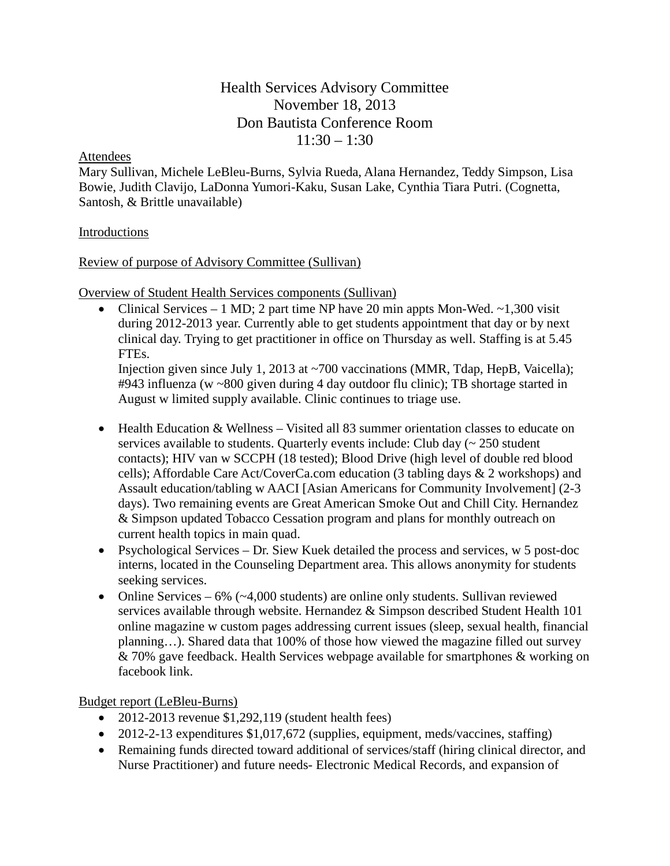# Health Services Advisory Committee November 18, 2013 Don Bautista Conference Room  $11:30 - 1:30$

#### Attendees

Mary Sullivan, Michele LeBleu-Burns, Sylvia Rueda, Alana Hernandez, Teddy Simpson, Lisa Bowie, Judith Clavijo, LaDonna Yumori-Kaku, Susan Lake, Cynthia Tiara Putri. (Cognetta, Santosh, & Brittle unavailable)

### Introductions

### Review of purpose of Advisory Committee (Sullivan)

Overview of Student Health Services components (Sullivan)

• Clinical Services – 1 MD; 2 part time NP have 20 min appts Mon-Wed.  $\sim$  1,300 visit during 2012-2013 year. Currently able to get students appointment that day or by next clinical day. Trying to get practitioner in office on Thursday as well. Staffing is at 5.45 FTEs.

Injection given since July 1, 2013 at ~700 vaccinations (MMR, Tdap, HepB, Vaicella); #943 influenza (w ~800 given during 4 day outdoor flu clinic); TB shortage started in August w limited supply available. Clinic continues to triage use.

- Health Education & Wellness Visited all 83 summer orientation classes to educate on services available to students. Quarterly events include: Club day (~ 250 student contacts); HIV van w SCCPH (18 tested); Blood Drive (high level of double red blood cells); Affordable Care Act/CoverCa.com education (3 tabling days & 2 workshops) and Assault education/tabling w AACI [Asian Americans for Community Involvement] (2-3 days). Two remaining events are Great American Smoke Out and Chill City. Hernandez & Simpson updated Tobacco Cessation program and plans for monthly outreach on current health topics in main quad.
- Psychological Services Dr. Siew Kuek detailed the process and services, w 5 post-doc interns, located in the Counseling Department area. This allows anonymity for students seeking services.
- Online Services  $6\%$  ( $\sim$ 4,000 students) are online only students. Sullivan reviewed services available through website. Hernandez & Simpson described Student Health 101 online magazine w custom pages addressing current issues (sleep, sexual health, financial planning…). Shared data that 100% of those how viewed the magazine filled out survey & 70% gave feedback. Health Services webpage available for smartphones & working on facebook link.

Budget report (LeBleu-Burns)

- 2012-2013 revenue  $$1,292,119$  (student health fees)
- 2012-2-13 expenditures \$1,017,672 (supplies, equipment, meds/vaccines, staffing)
- Remaining funds directed toward additional of services/staff (hiring clinical director, and Nurse Practitioner) and future needs- Electronic Medical Records, and expansion of